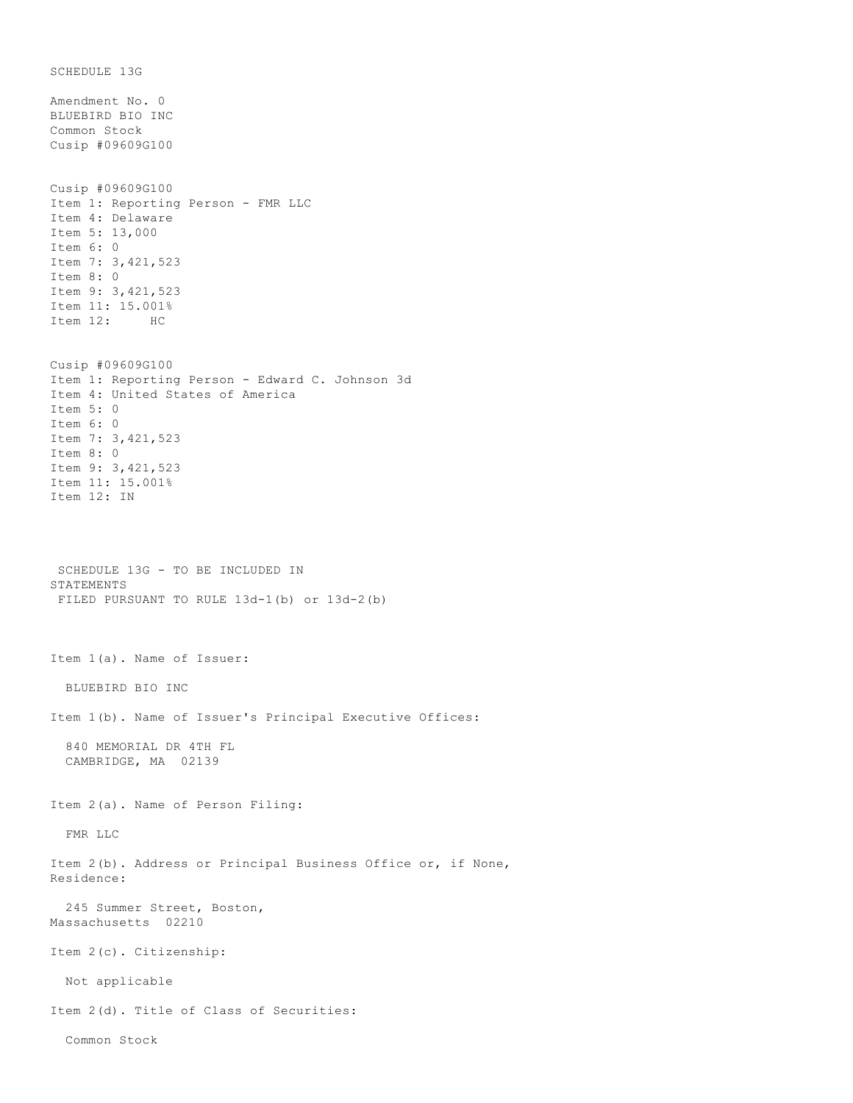SCHEDULE 13G Amendment No. 0 BLUEBIRD BIO INC Common Stock Cusip #09609G100 Cusip #09609G100 Item 1: Reporting Person - FMR LLC Item 4: Delaware Item 5: 13,000 Item 6: 0 Item 7: 3,421,523 Item 8: 0 Item 9: 3,421,523 Item 11: 15.001% Item 12: HC Cusip #09609G100 Item 1: Reporting Person - Edward C. Johnson 3d Item 4: United States of America Item 5: 0 Item 6: 0 Item 7: 3,421,523 Item 8: 0 Item 9: 3,421,523 Item 11: 15.001% Item 12: IN SCHEDULE 13G - TO BE INCLUDED IN STATEMENTS FILED PURSUANT TO RULE 13d-1(b) or 13d-2(b) Item 1(a). Name of Issuer: BLUEBIRD BIO INC Item 1(b). Name of Issuer's Principal Executive Offices: 840 MEMORIAL DR 4TH FL CAMBRIDGE, MA 02139 Item 2(a). Name of Person Filing: FMR LLC Item 2(b). Address or Principal Business Office or, if None, Residence: 245 Summer Street, Boston, Massachusetts 02210 Item 2(c). Citizenship: Not applicable Item 2(d). Title of Class of Securities: Common Stock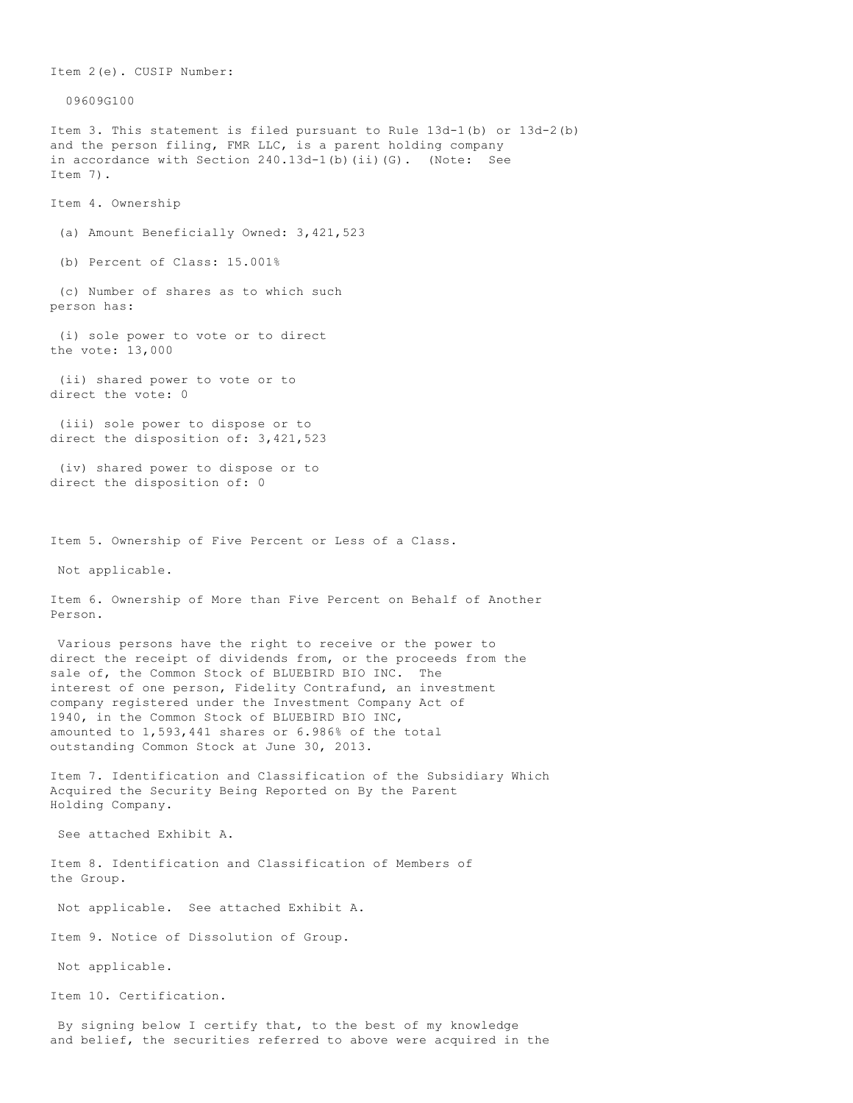Item 2(e). CUSIP Number: 09609G100 Item 3. This statement is filed pursuant to Rule 13d-1(b) or 13d-2(b) and the person filing, FMR LLC, is a parent holding company in accordance with Section 240.13d-1(b)(ii)(G). (Note: See Item 7). Item 4. Ownership (a) Amount Beneficially Owned: 3,421,523 (b) Percent of Class: 15.001% (c) Number of shares as to which such person has: (i) sole power to vote or to direct the vote: 13,000 (ii) shared power to vote or to direct the vote: 0 (iii) sole power to dispose or to direct the disposition of: 3,421,523 (iv) shared power to dispose or to direct the disposition of: 0 Item 5. Ownership of Five Percent or Less of a Class. Not applicable. Item 6. Ownership of More than Five Percent on Behalf of Another Person. Various persons have the right to receive or the power to direct the receipt of dividends from, or the proceeds from the sale of, the Common Stock of BLUEBIRD BIO INC. The interest of one person, Fidelity Contrafund, an investment company registered under the Investment Company Act of 1940, in the Common Stock of BLUEBIRD BIO INC, amounted to 1,593,441 shares or 6.986% of the total outstanding Common Stock at June 30, 2013. Item 7. Identification and Classification of the Subsidiary Which Acquired the Security Being Reported on By the Parent Holding Company. See attached Exhibit A. Item 8. Identification and Classification of Members of the Group. Not applicable. See attached Exhibit A. Item 9. Notice of Dissolution of Group. Not applicable. Item 10. Certification. By signing below I certify that, to the best of my knowledge and belief, the securities referred to above were acquired in the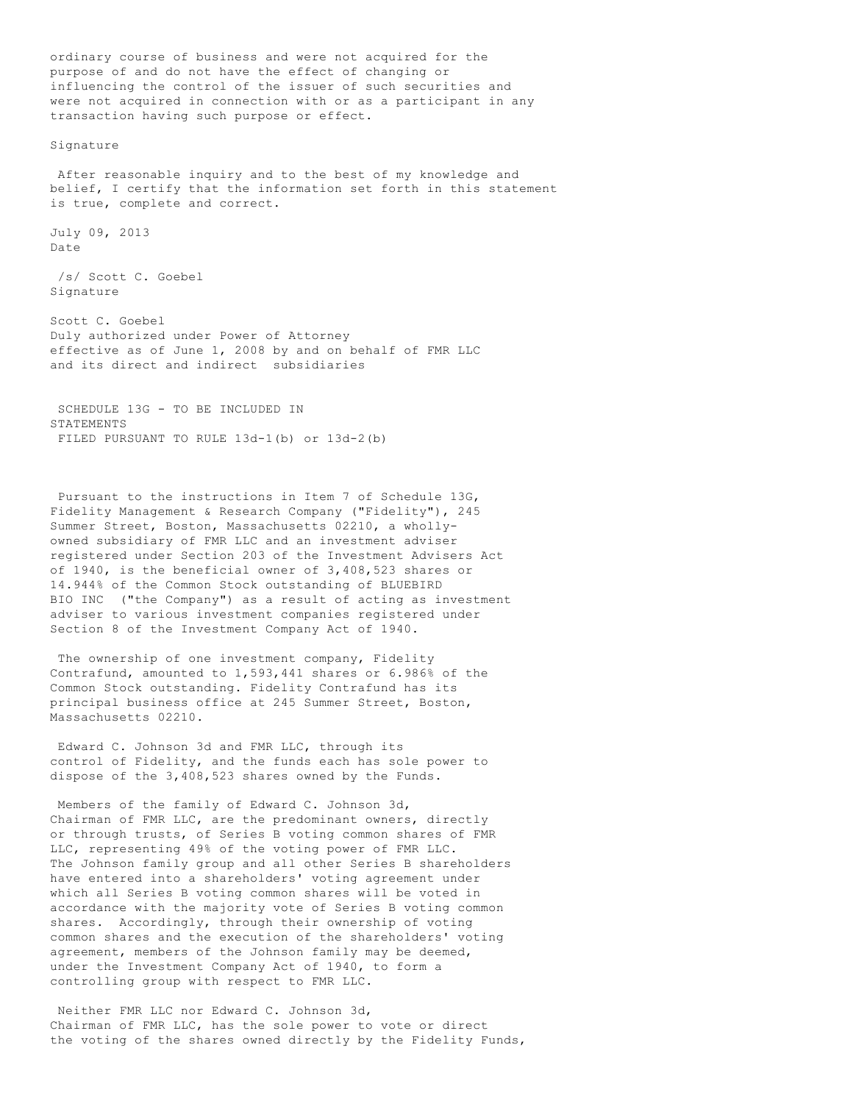ordinary course of business and were not acquired for the purpose of and do not have the effect of changing or influencing the control of the issuer of such securities and were not acquired in connection with or as a participant in any transaction having such purpose or effect.

Signature

 After reasonable inquiry and to the best of my knowledge and belief, I certify that the information set forth in this statement is true, complete and correct.

July 09, 2013 Date

 /s/ Scott C. Goebel Signature

Scott C. Goebel Duly authorized under Power of Attorney effective as of June 1, 2008 by and on behalf of FMR LLC and its direct and indirect subsidiaries

 SCHEDULE 13G - TO BE INCLUDED IN STATEMENTS FILED PURSUANT TO RULE 13d-1(b) or 13d-2(b)

 Pursuant to the instructions in Item 7 of Schedule 13G, Fidelity Management & Research Company ("Fidelity"), 245 Summer Street, Boston, Massachusetts 02210, a whollyowned subsidiary of FMR LLC and an investment adviser registered under Section 203 of the Investment Advisers Act of 1940, is the beneficial owner of 3,408,523 shares or 14.944% of the Common Stock outstanding of BLUEBIRD BIO INC ("the Company") as a result of acting as investment adviser to various investment companies registered under Section 8 of the Investment Company Act of 1940.

 The ownership of one investment company, Fidelity Contrafund, amounted to 1,593,441 shares or 6.986% of the Common Stock outstanding. Fidelity Contrafund has its principal business office at 245 Summer Street, Boston, Massachusetts 02210.

 Edward C. Johnson 3d and FMR LLC, through its control of Fidelity, and the funds each has sole power to dispose of the 3,408,523 shares owned by the Funds.

 Members of the family of Edward C. Johnson 3d, Chairman of FMR LLC, are the predominant owners, directly or through trusts, of Series B voting common shares of FMR LLC, representing 49% of the voting power of FMR LLC. The Johnson family group and all other Series B shareholders have entered into a shareholders' voting agreement under which all Series B voting common shares will be voted in accordance with the majority vote of Series B voting common shares. Accordingly, through their ownership of voting common shares and the execution of the shareholders' voting agreement, members of the Johnson family may be deemed, under the Investment Company Act of 1940, to form a controlling group with respect to FMR LLC.

 Neither FMR LLC nor Edward C. Johnson 3d, Chairman of FMR LLC, has the sole power to vote or direct the voting of the shares owned directly by the Fidelity Funds,